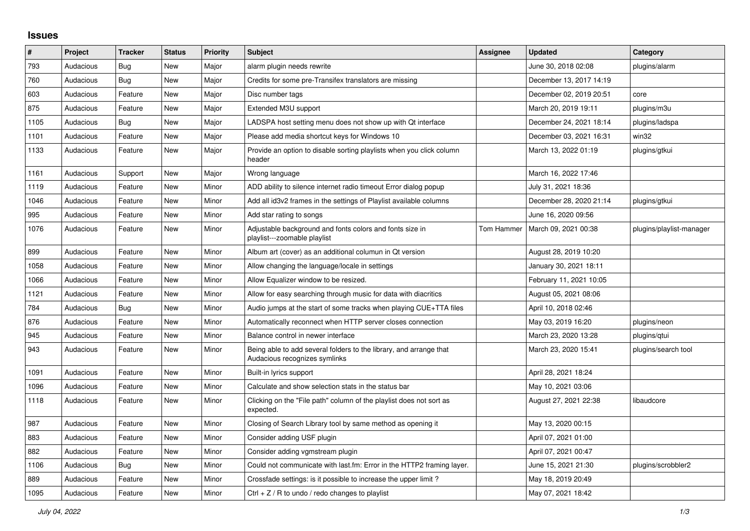## **Issues**

| #    | Project   | <b>Tracker</b> | <b>Status</b> | <b>Priority</b> | <b>Subject</b>                                                                                      | Assignee   | <b>Updated</b>          | Category                 |
|------|-----------|----------------|---------------|-----------------|-----------------------------------------------------------------------------------------------------|------------|-------------------------|--------------------------|
| 793  | Audacious | Bug            | <b>New</b>    | Major           | alarm plugin needs rewrite                                                                          |            | June 30, 2018 02:08     | plugins/alarm            |
| 760  | Audacious | Bug            | <b>New</b>    | Major           | Credits for some pre-Transifex translators are missing                                              |            | December 13, 2017 14:19 |                          |
| 603  | Audacious | Feature        | New           | Major           | Disc number tags                                                                                    |            | December 02, 2019 20:51 | core                     |
| 875  | Audacious | Feature        | <b>New</b>    | Major           | Extended M3U support                                                                                |            | March 20, 2019 19:11    | plugins/m3u              |
| 1105 | Audacious | Bug            | New           | Major           | LADSPA host setting menu does not show up with Qt interface                                         |            | December 24, 2021 18:14 | plugins/ladspa           |
| 1101 | Audacious | Feature        | <b>New</b>    | Major           | Please add media shortcut keys for Windows 10                                                       |            | December 03, 2021 16:31 | win32                    |
| 1133 | Audacious | Feature        | New           | Major           | Provide an option to disable sorting playlists when you click column<br>header                      |            | March 13, 2022 01:19    | plugins/gtkui            |
| 1161 | Audacious | Support        | <b>New</b>    | Major           | Wrong language                                                                                      |            | March 16, 2022 17:46    |                          |
| 1119 | Audacious | Feature        | <b>New</b>    | Minor           | ADD ability to silence internet radio timeout Error dialog popup                                    |            | July 31, 2021 18:36     |                          |
| 1046 | Audacious | Feature        | <b>New</b>    | Minor           | Add all id3v2 frames in the settings of Playlist available columns                                  |            | December 28, 2020 21:14 | plugins/gtkui            |
| 995  | Audacious | Feature        | New           | Minor           | Add star rating to songs                                                                            |            | June 16, 2020 09:56     |                          |
| 1076 | Audacious | Feature        | New           | Minor           | Adjustable background and fonts colors and fonts size in<br>playlist---zoomable playlist            | Tom Hammer | March 09, 2021 00:38    | plugins/playlist-manager |
| 899  | Audacious | Feature        | New           | Minor           | Album art (cover) as an additional columun in Qt version                                            |            | August 28, 2019 10:20   |                          |
| 1058 | Audacious | Feature        | New           | Minor           | Allow changing the language/locale in settings                                                      |            | January 30, 2021 18:11  |                          |
| 1066 | Audacious | Feature        | <b>New</b>    | Minor           | Allow Equalizer window to be resized.                                                               |            | February 11, 2021 10:05 |                          |
| 1121 | Audacious | Feature        | <b>New</b>    | Minor           | Allow for easy searching through music for data with diacritics                                     |            | August 05, 2021 08:06   |                          |
| 784  | Audacious | <b>Bug</b>     | New           | Minor           | Audio jumps at the start of some tracks when playing CUE+TTA files                                  |            | April 10, 2018 02:46    |                          |
| 876  | Audacious | Feature        | New           | Minor           | Automatically reconnect when HTTP server closes connection                                          |            | May 03, 2019 16:20      | plugins/neon             |
| 945  | Audacious | Feature        | New           | Minor           | Balance control in newer interface                                                                  |            | March 23, 2020 13:28    | plugins/gtui             |
| 943  | Audacious | Feature        | <b>New</b>    | Minor           | Being able to add several folders to the library, and arrange that<br>Audacious recognizes symlinks |            | March 23, 2020 15:41    | plugins/search tool      |
| 1091 | Audacious | Feature        | <b>New</b>    | Minor           | Built-in lyrics support                                                                             |            | April 28, 2021 18:24    |                          |
| 1096 | Audacious | Feature        | New           | Minor           | Calculate and show selection stats in the status bar                                                |            | May 10, 2021 03:06      |                          |
| 1118 | Audacious | Feature        | New           | Minor           | Clicking on the "File path" column of the playlist does not sort as<br>expected.                    |            | August 27, 2021 22:38   | libaudcore               |
| 987  | Audacious | Feature        | <b>New</b>    | Minor           | Closing of Search Library tool by same method as opening it                                         |            | May 13, 2020 00:15      |                          |
| 883  | Audacious | Feature        | <b>New</b>    | Minor           | Consider adding USF plugin                                                                          |            | April 07, 2021 01:00    |                          |
| 882  | Audacious | Feature        | <b>New</b>    | Minor           | Consider adding vgmstream plugin                                                                    |            | April 07, 2021 00:47    |                          |
| 1106 | Audacious | Bug            | <b>New</b>    | Minor           | Could not communicate with last.fm: Error in the HTTP2 framing layer.                               |            | June 15, 2021 21:30     | plugins/scrobbler2       |
| 889  | Audacious | Feature        | <b>New</b>    | Minor           | Crossfade settings: is it possible to increase the upper limit?                                     |            | May 18, 2019 20:49      |                          |
| 1095 | Audacious | Feature        | <b>New</b>    | Minor           | Ctrl $+$ Z / R to undo / redo changes to playlist                                                   |            | May 07, 2021 18:42      |                          |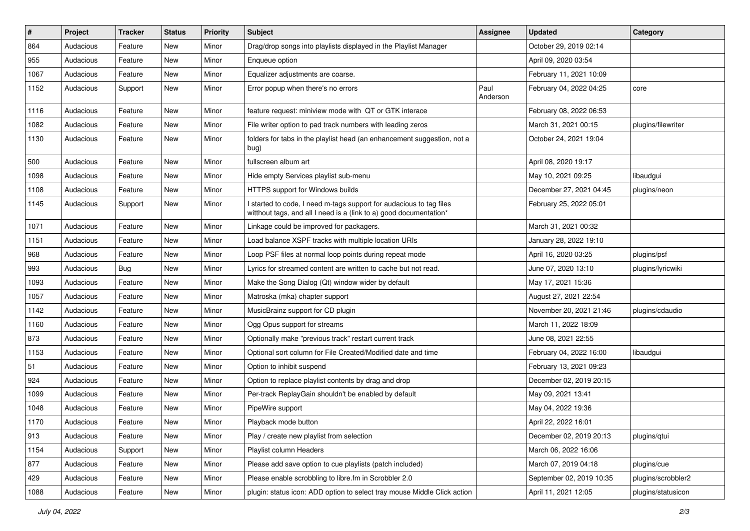| #    | Project   | <b>Tracker</b> | <b>Status</b> | <b>Priority</b> | Subject                                                                                                                                   | <b>Assignee</b>  | <b>Updated</b>           | Category           |
|------|-----------|----------------|---------------|-----------------|-------------------------------------------------------------------------------------------------------------------------------------------|------------------|--------------------------|--------------------|
| 864  | Audacious | Feature        | New           | Minor           | Drag/drop songs into playlists displayed in the Playlist Manager                                                                          |                  | October 29, 2019 02:14   |                    |
| 955  | Audacious | Feature        | New           | Minor           | Enqueue option                                                                                                                            |                  | April 09, 2020 03:54     |                    |
| 1067 | Audacious | Feature        | New           | Minor           | Equalizer adjustments are coarse.                                                                                                         |                  | February 11, 2021 10:09  |                    |
| 1152 | Audacious | Support        | New           | Minor           | Error popup when there's no errors                                                                                                        | Paul<br>Anderson | February 04, 2022 04:25  | core               |
| 1116 | Audacious | Feature        | New           | Minor           | feature request: miniview mode with QT or GTK interace                                                                                    |                  | February 08, 2022 06:53  |                    |
| 1082 | Audacious | Feature        | New           | Minor           | File writer option to pad track numbers with leading zeros                                                                                |                  | March 31, 2021 00:15     | plugins/filewriter |
| 1130 | Audacious | Feature        | New           | Minor           | folders for tabs in the playlist head (an enhancement suggestion, not a<br>bug)                                                           |                  | October 24, 2021 19:04   |                    |
| 500  | Audacious | Feature        | New           | Minor           | fullscreen album art                                                                                                                      |                  | April 08, 2020 19:17     |                    |
| 1098 | Audacious | Feature        | New           | Minor           | Hide empty Services playlist sub-menu                                                                                                     |                  | May 10, 2021 09:25       | libaudgui          |
| 1108 | Audacious | Feature        | New           | Minor           | HTTPS support for Windows builds                                                                                                          |                  | December 27, 2021 04:45  | plugins/neon       |
| 1145 | Audacious | Support        | New           | Minor           | I started to code, I need m-tags support for audacious to tag files<br>witthout tags, and all I need is a (link to a) good documentation* |                  | February 25, 2022 05:01  |                    |
| 1071 | Audacious | Feature        | New           | Minor           | Linkage could be improved for packagers.                                                                                                  |                  | March 31, 2021 00:32     |                    |
| 1151 | Audacious | Feature        | New           | Minor           | Load balance XSPF tracks with multiple location URIs                                                                                      |                  | January 28, 2022 19:10   |                    |
| 968  | Audacious | Feature        | New           | Minor           | Loop PSF files at normal loop points during repeat mode                                                                                   |                  | April 16, 2020 03:25     | plugins/psf        |
| 993  | Audacious | Bug            | New           | Minor           | Lyrics for streamed content are written to cache but not read.                                                                            |                  | June 07, 2020 13:10      | plugins/lyricwiki  |
| 1093 | Audacious | Feature        | New           | Minor           | Make the Song Dialog (Qt) window wider by default                                                                                         |                  | May 17, 2021 15:36       |                    |
| 1057 | Audacious | Feature        | New           | Minor           | Matroska (mka) chapter support                                                                                                            |                  | August 27, 2021 22:54    |                    |
| 1142 | Audacious | Feature        | New           | Minor           | MusicBrainz support for CD plugin                                                                                                         |                  | November 20, 2021 21:46  | plugins/cdaudio    |
| 1160 | Audacious | Feature        | New           | Minor           | Ogg Opus support for streams                                                                                                              |                  | March 11, 2022 18:09     |                    |
| 873  | Audacious | Feature        | New           | Minor           | Optionally make "previous track" restart current track                                                                                    |                  | June 08, 2021 22:55      |                    |
| 1153 | Audacious | Feature        | New           | Minor           | Optional sort column for File Created/Modified date and time                                                                              |                  | February 04, 2022 16:00  | libaudgui          |
| 51   | Audacious | Feature        | New           | Minor           | Option to inhibit suspend                                                                                                                 |                  | February 13, 2021 09:23  |                    |
| 924  | Audacious | Feature        | New           | Minor           | Option to replace playlist contents by drag and drop                                                                                      |                  | December 02, 2019 20:15  |                    |
| 1099 | Audacious | Feature        | New           | Minor           | Per-track ReplayGain shouldn't be enabled by default                                                                                      |                  | May 09, 2021 13:41       |                    |
| 1048 | Audacious | Feature        | New           | Minor           | PipeWire support                                                                                                                          |                  | May 04, 2022 19:36       |                    |
| 1170 | Audacious | Feature        | New           | Minor           | Playback mode button                                                                                                                      |                  | April 22, 2022 16:01     |                    |
| 913  | Audacious | Feature        | New           | Minor           | Play / create new playlist from selection                                                                                                 |                  | December 02, 2019 20:13  | plugins/gtui       |
| 1154 | Audacious | Support        | New           | Minor           | Playlist column Headers                                                                                                                   |                  | March 06, 2022 16:06     |                    |
| 877  | Audacious | Feature        | New           | Minor           | Please add save option to cue playlists (patch included)                                                                                  |                  | March 07, 2019 04:18     | plugins/cue        |
| 429  | Audacious | Feature        | New           | Minor           | Please enable scrobbling to libre.fm in Scrobbler 2.0                                                                                     |                  | September 02, 2019 10:35 | plugins/scrobbler2 |
| 1088 | Audacious | Feature        | New           | Minor           | plugin: status icon: ADD option to select tray mouse Middle Click action                                                                  |                  | April 11, 2021 12:05     | plugins/statusicon |